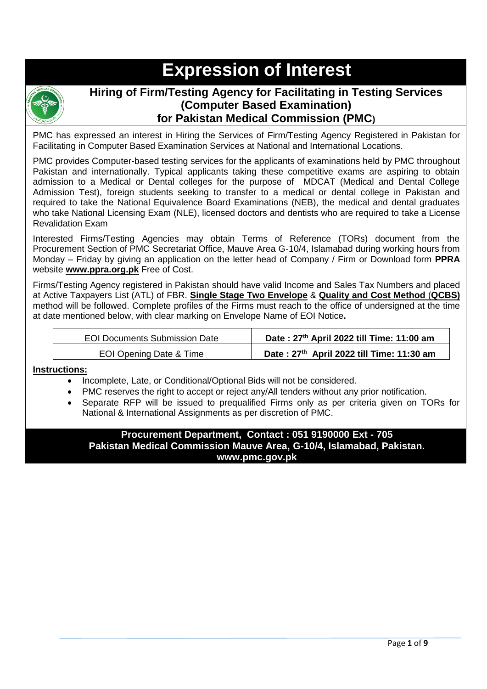# **Expression of Interest**



## **Hiring of Firm/Testing Agency for Facilitating in Testing Services (Computer Based Examination) for Pakistan Medical Commission (PMC)**

PMC has expressed an interest in Hiring the Services of Firm/Testing Agency Registered in Pakistan for Facilitating in Computer Based Examination Services at National and International Locations.

PMC provides Computer-based testing services for the applicants of examinations held by PMC throughout Pakistan and internationally. Typical applicants taking these competitive exams are aspiring to obtain admission to a Medical or Dental colleges for the purpose of MDCAT (Medical and Dental College Admission Test), foreign students seeking to transfer to a medical or dental college in Pakistan and required to take the National Equivalence Board Examinations (NEB), the medical and dental graduates who take National Licensing Exam (NLE), licensed doctors and dentists who are required to take a License Revalidation Exam

Interested Firms/Testing Agencies may obtain Terms of Reference (TORs) document from the Procurement Section of PMC Secretariat Office, Mauve Area G-10/4, Islamabad during working hours from Monday – Friday by giving an application on the letter head of Company / Firm or Download form **PPRA** website **www.ppra.org.pk** Free of Cost.

Firms/Testing Agency registered in Pakistan should have valid Income and Sales Tax Numbers and placed at Active Taxpayers List (ATL) of FBR. **Single Stage Two Envelope** & **Quality and Cost Method** (**QCBS)** method will be followed. Complete profiles of the Firms must reach to the office of undersigned at the time at date mentioned below, with clear marking on Envelope Name of EOI Notice**.**

| <b>EOI Documents Submission Date</b> | Date: 27th April 2022 till Time: 11:00 am |
|--------------------------------------|-------------------------------------------|
| EOI Opening Date & Time              | Date: 27th April 2022 till Time: 11:30 am |

#### **Instructions:**

- Incomplete, Late, or Conditional/Optional Bids will not be considered.
- PMC reserves the right to accept or reject any/All tenders without any prior notification.
- Separate RFP will be issued to prequalified Firms only as per criteria given on TORs for National & International Assignments as per discretion of PMC.

#### **Procurement Department, Contact : 051 9190000 Ext - 705 Pakistan Medical Commission Mauve Area, G-10/4, Islamabad, Pakistan. www.pmc.gov.pk**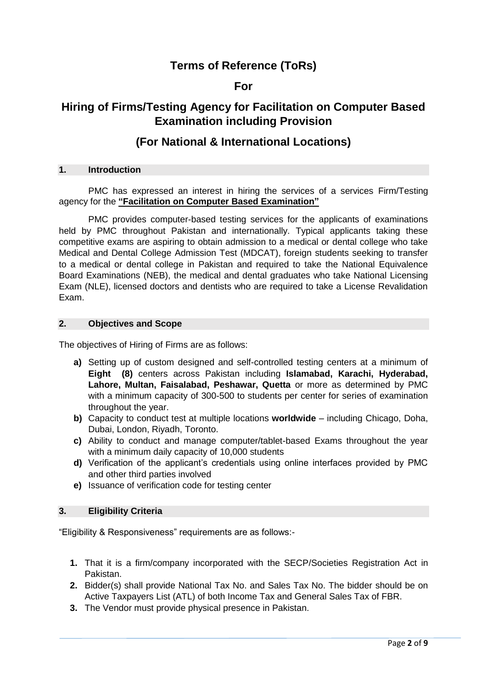# **Terms of Reference (ToRs)**

## **For**

# **Hiring of Firms/Testing Agency for Facilitation on Computer Based Examination including Provision**

## **(For National & International Locations)**

#### **1. Introduction**

PMC has expressed an interest in hiring the services of a services Firm/Testing agency for the **"Facilitation on Computer Based Examination"**

PMC provides computer-based testing services for the applicants of examinations held by PMC throughout Pakistan and internationally. Typical applicants taking these competitive exams are aspiring to obtain admission to a medical or dental college who take Medical and Dental College Admission Test (MDCAT), foreign students seeking to transfer to a medical or dental college in Pakistan and required to take the National Equivalence Board Examinations (NEB), the medical and dental graduates who take National Licensing Exam (NLE), licensed doctors and dentists who are required to take a License Revalidation Exam.

#### **2. Objectives and Scope**

The objectives of Hiring of Firms are as follows:

- **a)** Setting up of custom designed and self-controlled testing centers at a minimum of **Eight (8)** centers across Pakistan including **Islamabad, Karachi, Hyderabad, Lahore, Multan, Faisalabad, Peshawar, Quetta** or more as determined by PMC with a minimum capacity of 300-500 to students per center for series of examination throughout the year.
- **b)** Capacity to conduct test at multiple locations **worldwide** including Chicago, Doha, Dubai, London, Riyadh, Toronto.
- **c)** Ability to conduct and manage computer/tablet-based Exams throughout the year with a minimum daily capacity of 10,000 students
- **d)** Verification of the applicant's credentials using online interfaces provided by PMC and other third parties involved
- **e)** Issuance of verification code for testing center

#### **3. Eligibility Criteria**

"Eligibility & Responsiveness" requirements are as follows:-

- **1.** That it is a firm/company incorporated with the SECP/Societies Registration Act in Pakistan.
- **2.** Bidder(s) shall provide National Tax No. and Sales Tax No. The bidder should be on Active Taxpayers List (ATL) of both Income Tax and General Sales Tax of FBR.
- **3.** The Vendor must provide physical presence in Pakistan.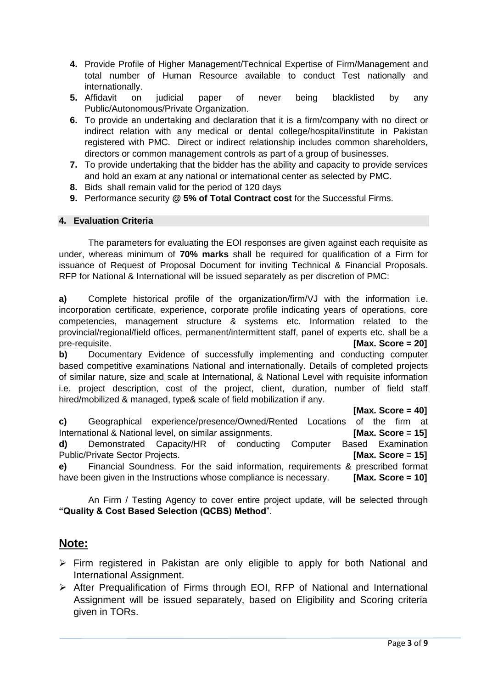- **4.** Provide Profile of Higher Management/Technical Expertise of Firm/Management and total number of Human Resource available to conduct Test nationally and internationally.
- **5.** Affidavit on judicial paper of never being blacklisted by any Public/Autonomous/Private Organization.
- **6.** To provide an undertaking and declaration that it is a firm/company with no direct or indirect relation with any medical or dental college/hospital/institute in Pakistan registered with PMC. Direct or indirect relationship includes common shareholders, directors or common management controls as part of a group of businesses.
- **7.** To provide undertaking that the bidder has the ability and capacity to provide services and hold an exam at any national or international center as selected by PMC.
- **8.** Bids shall remain valid for the period of 120 days
- **9.** Performance security **@ 5% of Total Contract cost** for the Successful Firms.

#### **4. Evaluation Criteria**

The parameters for evaluating the EOI responses are given against each requisite as under, whereas minimum of **70% marks** shall be required for qualification of a Firm for issuance of Request of Proposal Document for inviting Technical & Financial Proposals. RFP for National & International will be issued separately as per discretion of PMC:

**a)** Complete historical profile of the organization/firm/VJ with the information i.e. incorporation certificate, experience, corporate profile indicating years of operations, core competencies, management structure & systems etc. Information related to the provincial/regional/field offices, permanent/intermittent staff, panel of experts etc. shall be a pre-requisite. **[Max. Score = 20]**

**b)** Documentary Evidence of successfully implementing and conducting computer based competitive examinations National and internationally. Details of completed projects of similar nature, size and scale at International, & National Level with requisite information i.e. project description, cost of the project, client, duration, number of field staff hired/mobilized & managed, type& scale of field mobilization if any.

**[Max. Score = 40]**

| C) | Geographical experience/presence/Owned/Rented Locations of the firm at             |  |  |  |                      |  |
|----|------------------------------------------------------------------------------------|--|--|--|----------------------|--|
|    | International & National level, on similar assignments.                            |  |  |  | [Max. Score $= 15$ ] |  |
|    | d) Demonstrated Capacity/HR of conducting Computer                                 |  |  |  | Based Examination    |  |
|    | Public/Private Sector Projects.                                                    |  |  |  | [Max. Score = $15$ ] |  |
|    | e) Financial Soundness. For the said information, requirements & prescribed format |  |  |  |                      |  |
|    | have been given in the Instructions whose compliance is necessary.                 |  |  |  | [Max. Score = $10$ ] |  |

An Firm / Testing Agency to cover entire project update, will be selected through **"Quality & Cost Based Selection (QCBS) Method**".

## **Note:**

- $\triangleright$  Firm registered in Pakistan are only eligible to apply for both National and International Assignment.
- After Prequalification of Firms through EOI, RFP of National and International Assignment will be issued separately, based on Eligibility and Scoring criteria given in TORs.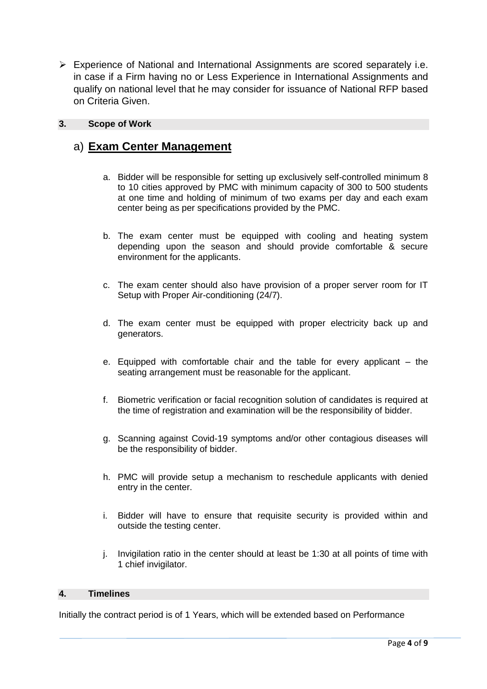Experience of National and International Assignments are scored separately i.e. in case if a Firm having no or Less Experience in International Assignments and qualify on national level that he may consider for issuance of National RFP based on Criteria Given.

#### **3. Scope of Work**

# a) **Exam Center Management**

- a. Bidder will be responsible for setting up exclusively self-controlled minimum 8 to 10 cities approved by PMC with minimum capacity of 300 to 500 students at one time and holding of minimum of two exams per day and each exam center being as per specifications provided by the PMC.
- b. The exam center must be equipped with cooling and heating system depending upon the season and should provide comfortable & secure environment for the applicants.
- c. The exam center should also have provision of a proper server room for IT Setup with Proper Air-conditioning (24/7).
- d. The exam center must be equipped with proper electricity back up and generators.
- e. Equipped with comfortable chair and the table for every applicant the seating arrangement must be reasonable for the applicant.
- f. Biometric verification or facial recognition solution of candidates is required at the time of registration and examination will be the responsibility of bidder.
- g. Scanning against Covid-19 symptoms and/or other contagious diseases will be the responsibility of bidder.
- h. PMC will provide setup a mechanism to reschedule applicants with denied entry in the center.
- i. Bidder will have to ensure that requisite security is provided within and outside the testing center.
- j. Invigilation ratio in the center should at least be 1:30 at all points of time with 1 chief invigilator.

#### **4. Timelines**

Initially the contract period is of 1 Years, which will be extended based on Performance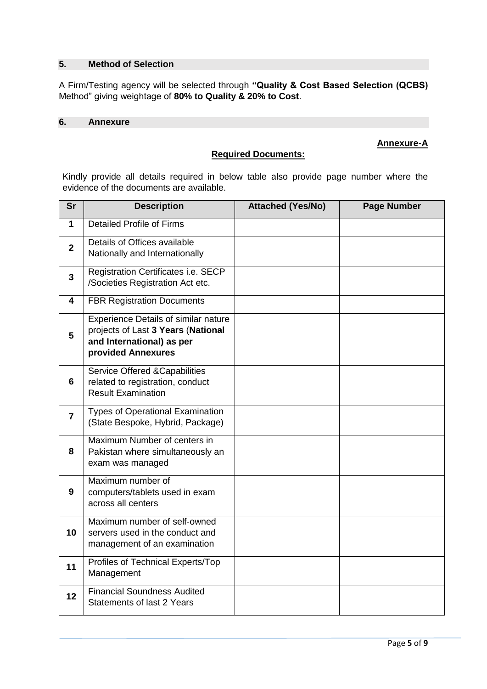#### **5. Method of Selection**

A Firm/Testing agency will be selected through **"Quality & Cost Based Selection (QCBS)**  Method" giving weightage of **80% to Quality & 20% to Cost**.

#### **6. Annexure**

#### **Annexure-A**

Kindly provide all details required in below table also provide page number where the evidence of the documents are available.

**Required Documents:**

| <b>Sr</b>               | <b>Description</b>                                                                                                            | <b>Attached (Yes/No)</b> | <b>Page Number</b> |
|-------------------------|-------------------------------------------------------------------------------------------------------------------------------|--------------------------|--------------------|
| $\mathbf{1}$            | <b>Detailed Profile of Firms</b>                                                                                              |                          |                    |
| $\overline{2}$          | Details of Offices available<br>Nationally and Internationally                                                                |                          |                    |
| $\overline{3}$          | Registration Certificates i.e. SECP<br>/Societies Registration Act etc.                                                       |                          |                    |
| $\overline{\mathbf{4}}$ | <b>FBR Registration Documents</b>                                                                                             |                          |                    |
| 5                       | Experience Details of similar nature<br>projects of Last 3 Years (National<br>and International) as per<br>provided Annexures |                          |                    |
| 6                       | Service Offered & Capabilities<br>related to registration, conduct<br><b>Result Examination</b>                               |                          |                    |
| $\overline{7}$          | <b>Types of Operational Examination</b><br>(State Bespoke, Hybrid, Package)                                                   |                          |                    |
| 8                       | Maximum Number of centers in<br>Pakistan where simultaneously an<br>exam was managed                                          |                          |                    |
| 9                       | Maximum number of<br>computers/tablets used in exam<br>across all centers                                                     |                          |                    |
| 10                      | Maximum number of self-owned<br>servers used in the conduct and<br>management of an examination                               |                          |                    |
| 11                      | Profiles of Technical Experts/Top<br>Management                                                                               |                          |                    |
| 12                      | <b>Financial Soundness Audited</b><br><b>Statements of last 2 Years</b>                                                       |                          |                    |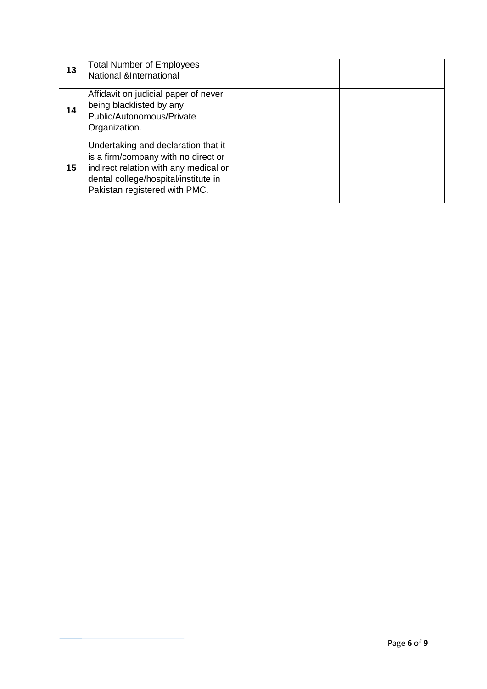| 13 | <b>Total Number of Employees</b><br>National &International                                                                                                                                  |  |
|----|----------------------------------------------------------------------------------------------------------------------------------------------------------------------------------------------|--|
| 14 | Affidavit on judicial paper of never<br>being blacklisted by any<br>Public/Autonomous/Private<br>Organization.                                                                               |  |
| 15 | Undertaking and declaration that it<br>is a firm/company with no direct or<br>indirect relation with any medical or<br>dental college/hospital/institute in<br>Pakistan registered with PMC. |  |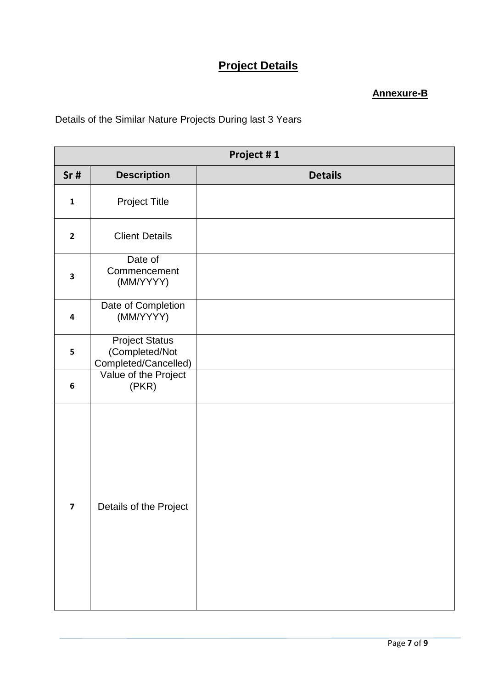# **Project Details**

## **Annexure-B**

Details of the Similar Nature Projects During last 3 Years

|                         |                                                                 | Project #1     |
|-------------------------|-----------------------------------------------------------------|----------------|
| Sr#                     | <b>Description</b>                                              | <b>Details</b> |
| $\mathbf 1$             | <b>Project Title</b>                                            |                |
| $\mathbf{2}$            | <b>Client Details</b>                                           |                |
| $\overline{\mathbf{3}}$ | Date of<br>Commencement<br>(MM/YYYY)                            |                |
| $\overline{\mathbf{4}}$ | Date of Completion<br>(MM/YYYY)                                 |                |
| 5                       | <b>Project Status</b><br>(Completed/Not<br>Completed/Cancelled) |                |
| $\boldsymbol{6}$        | Value of the Project<br>(PKR)                                   |                |
| $\overline{\mathbf{z}}$ | Details of the Project                                          |                |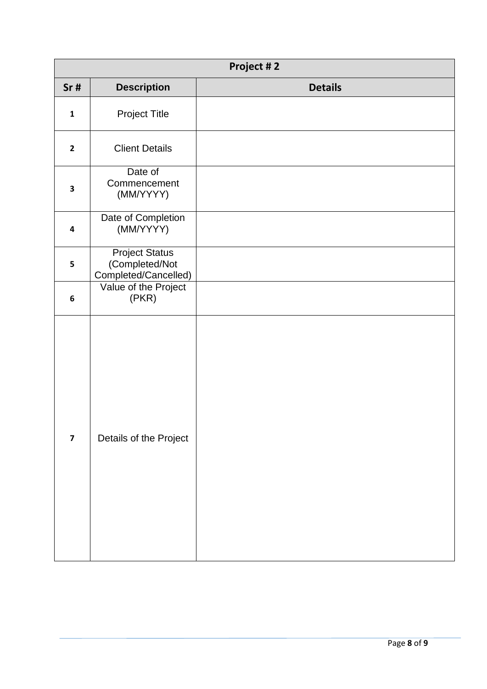| Project #2              |                                                                 |                |  |  |
|-------------------------|-----------------------------------------------------------------|----------------|--|--|
| Sr#                     | <b>Description</b>                                              | <b>Details</b> |  |  |
| $\mathbf 1$             | <b>Project Title</b>                                            |                |  |  |
| $\mathbf{2}$            | <b>Client Details</b>                                           |                |  |  |
| 3                       | Date of<br>Commencement<br>(MM/YYYY)                            |                |  |  |
| 4                       | Date of Completion<br>(MM/YYYY)                                 |                |  |  |
| 5                       | <b>Project Status</b><br>(Completed/Not<br>Completed/Cancelled) |                |  |  |
| 6                       | Value of the Project<br>(PKR)                                   |                |  |  |
| $\overline{\mathbf{z}}$ | Details of the Project                                          |                |  |  |